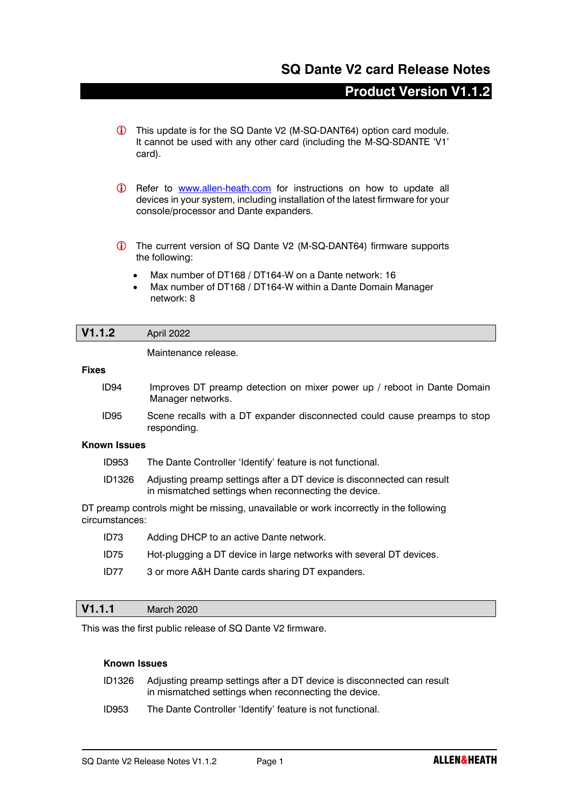# **SQ Dante V2 card Release Notes**

# **Product Version V1.1.2**

- This update is for the SQ Dante V2 (M-SQ-DANT64) option card module. It cannot be used with any other card (including the M-SQ-SDANTE 'V1' card).
- Refer to [www.allen-heath.com](http://www.allen-heath.com/) for instructions on how to update all devices in your system, including installation of the latest firmware for your console/processor and Dante expanders.
- The current version of SQ Dante V2 (M-SQ-DANT64) firmware supports the following:
	- Max number of DT168 / DT164-W on a Dante network: 16
	- Max number of DT168 / DT164-W within a Dante Domain Manager network: 8

### **V1.1.2** April 2022

Maintenance release.

#### **Fixes**

- ID94 Improves DT preamp detection on mixer power up / reboot in Dante Domain Manager networks.
- ID95 Scene recalls with a DT expander disconnected could cause preamps to stop responding.

#### **Known Issues**

- ID953 The Dante Controller 'Identify' feature is not functional.
- ID1326 Adjusting preamp settings after a DT device is disconnected can result in mismatched settings when reconnecting the device.

DT preamp controls might be missing, unavailable or work incorrectly in the following circumstances:

ID73 Adding DHCP to an active Dante network. ID75 Hot-plugging a DT device in large networks with several DT devices. ID77 3 or more A&H Dante cards sharing DT expanders.

### **V1.1.1** March 2020

This was the first public release of SQ Dante V2 firmware.

#### **Known Issues**

- ID1326 Adjusting preamp settings after a DT device is disconnected can result in mismatched settings when reconnecting the device.
- ID953 The Dante Controller 'Identify' feature is not functional.